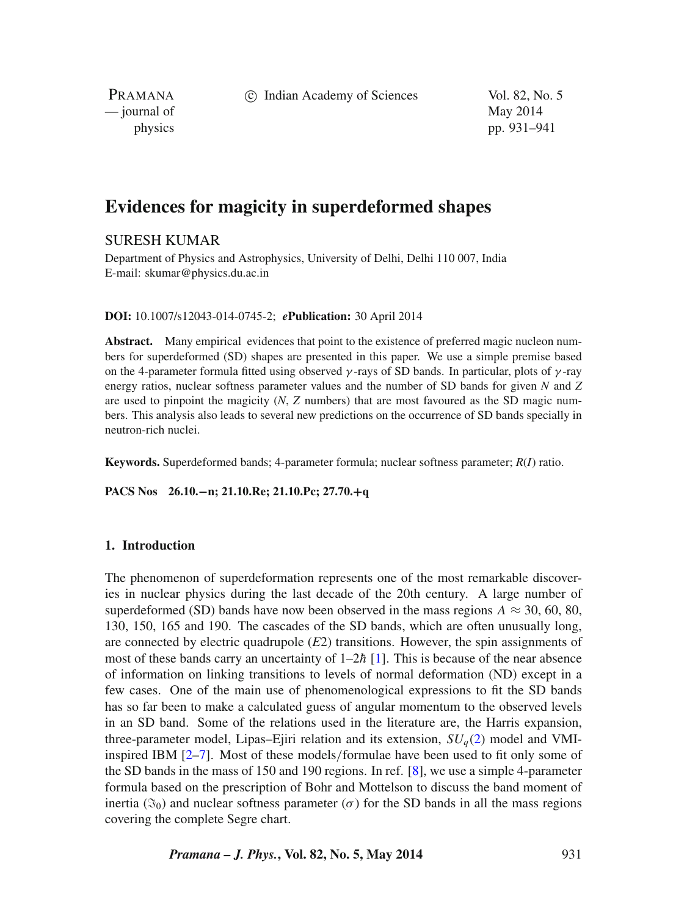c Indian Academy of Sciences Vol. 82, No. 5

PRAMANA — journal of May 2014

physics pp. 931–941

# **Evidences for magicity in superdeformed shapes**

## SURESH KUMAR

Department of Physics and Astrophysics, University of Delhi, Delhi 110 007, India E-mail: skumar@physics.du.ac.in

**DOI:** 10.1007/s12043-014-0745-2; *e***Publication:** 30 April 2014

**Abstract.** Many empirical evidences that point to the existence of preferred magic nucleon numbers for superdeformed (SD) shapes are presented in this paper. We use a simple premise based on the 4-parameter formula fitted using observed *γ* -rays of SD bands. In particular, plots of *γ* -ray energy ratios, nuclear softness parameter values and the number of SD bands for given *N* and *Z* are used to pinpoint the magicity (*N*, *Z* numbers) that are most favoured as the SD magic numbers. This analysis also leads to several new predictions on the occurrence of SD bands specially in neutron-rich nuclei.

**Keywords.** Superdeformed bands; 4-parameter formula; nuclear softness parameter; *R*(*I*) ratio.

**PACS Nos 26.10.−n; 21.10.Re; 21.10.Pc; 27.70.+q**

## **1. Introduction**

The phenomenon of superdeformation represents one of the most remarkable discoveries in nuclear physics during the last decade of the 20th century. A large number of superdeformed (SD) bands have now been observed in the mass regions  $A \approx 30, 60, 80$ , 130, 150, 165 and 190. The cascades of the SD bands, which are often unusually long, are connected by electric quadrupole (*E*2) transitions. However, the spin assignments of most of these bands carry an uncertainty of  $1-2\hbar$  [\[1\]](#page-9-0). This is because of the near absence of information on linking transitions to levels of normal deformation (ND) except in a few cases. One of the main use of phenomenological expressions to fit the SD bands has so far been to make a calculated guess of angular momentum to the observed levels in an SD band. Some of the relations used in the literature are, the Harris expansion, three-parameter model, Lipas–Ejiri relation and its extension,  $SU<sub>q</sub>(2)$  $SU<sub>q</sub>(2)$  model and VMIinspired IBM [\[2–](#page-9-1)[7\]](#page-10-0). Most of these models*/*formulae have been used to fit only some of the SD bands in the mass of 150 and 190 regions. In ref. [\[8\]](#page-10-1), we use a simple 4-parameter formula based on the prescription of Bohr and Mottelson to discuss the band moment of inertia ( $\mathfrak{I}_0$ ) and nuclear softness parameter ( $\sigma$ ) for the SD bands in all the mass regions covering the complete Segre chart.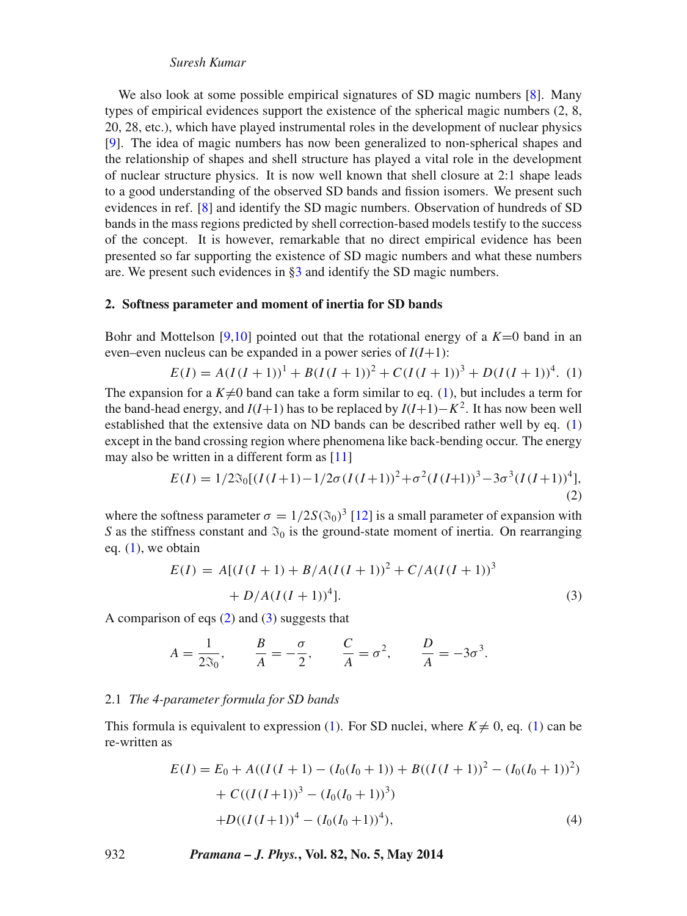## *Suresh Kumar*

We also look at some possible empirical signatures of SD magic numbers [\[8\]](#page-10-1). Many types of empirical evidences support the existence of the spherical magic numbers (2, 8, 20, 28, etc.), which have played instrumental roles in the development of nuclear physics [\[9\]](#page-10-2). The idea of magic numbers has now been generalized to non-spherical shapes and the relationship of shapes and shell structure has played a vital role in the development of nuclear structure physics. It is now well known that shell closure at 2:1 shape leads to a good understanding of the observed SD bands and fission isomers. We present such evidences in ref. [\[8\]](#page-10-1) and identify the SD magic numbers. Observation of hundreds of SD bands in the mass regions predicted by shell correction-based models testify to the success of the concept. It is however, remarkable that no direct empirical evidence has been presented so far supporting the existence of SD magic numbers and what these numbers are. We present such evidences in [§3](#page-3-0) and identify the SD magic numbers.

#### **2. Softness parameter and moment of inertia for SD bands**

Bohr and Mottelson [\[9](#page-10-2)[,10\]](#page-10-3) pointed out that the rotational energy of a  $K=0$  band in an even–even nucleus can be expanded in a power series of  $I(I+1)$ :

<span id="page-1-1"></span>
$$
E(I) = A(I(I+1))^{1} + B(I(I+1))^{2} + C(I(I+1))^{3} + D(I(I+1))^{4}.
$$
 (1)

The expansion for a  $K\neq 0$  band can take a form similar to eq. [\(1\)](#page-1-1), but includes a term for the band-head energy, and  $I(I+1)$  has to be replaced by  $I(I+1)-K^2$ . It has now been well established that the extensive data on ND bands can be described rather well by eq. [\(1\)](#page-1-1) except in the band crossing region where phenomena like back-bending occur. The energy may also be written in a different form as [\[11\]](#page-10-4)

<span id="page-1-0"></span>
$$
E(I) = 1/2\Im_0[(I(I+1) - 1/2\sigma(I(I+1))^2 + \sigma^2(I(I+1))^3 - 3\sigma^3(I(I+1))^4],
$$
\n(2)

where the softness parameter  $\sigma = 1/2S(\mathfrak{F}_0)^3$  [\[12\]](#page-10-5) is a small parameter of expansion with *S* as the stiffness constant and  $\mathfrak{S}_0$  is the ground-state moment of inertia. On rearranging eq.  $(1)$ , we obtain

<span id="page-1-2"></span>
$$
E(I) = A[(I(I+1) + B/A(I(I+1)))^{2} + C/A(I(I+1))^{3}
$$
  
+ D/A(I(I+1))<sup>4</sup>]. (3)

A comparison of eqs [\(2\)](#page-1-0) and [\(3\)](#page-1-2) suggests that

$$
A = \frac{1}{2\Im_0}
$$
,  $\frac{B}{A} = -\frac{\sigma}{2}$ ,  $\frac{C}{A} = \sigma^2$ ,  $\frac{D}{A} = -3\sigma^3$ .

#### 2.1 *The 4-parameter formula for SD bands*

This formula is equivalent to expression [\(1\)](#page-1-1). For SD nuclei, where  $K \neq 0$ , eq. (1) can be re-written as

$$
E(I) = E_0 + A((I(I + 1) - (I_0(I_0 + 1)) + B((I(I + 1))^2 - (I_0(I_0 + 1))^2)
$$
  
+  $C((I(I+1))^3 - (I_0(I_0 + 1))^3)$   
+ $D((I(I+1))^4 - (I_0(I_0 + 1))^4)$ , (4)

932 *Pramana – J. Phys.***, Vol. 82, No. 5, May 2014**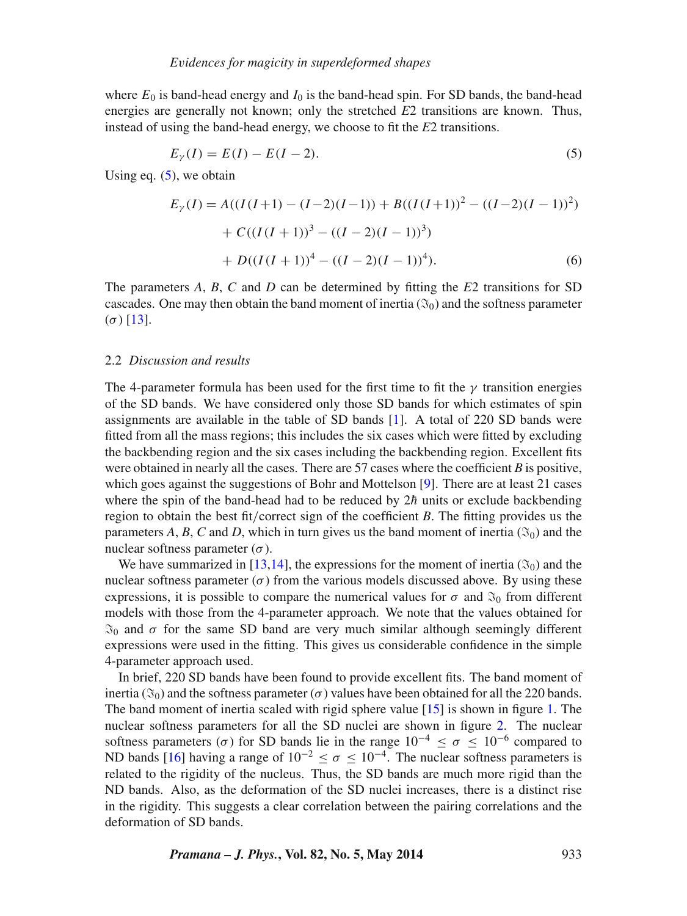where  $E_0$  is band-head energy and  $I_0$  is the band-head spin. For SD bands, the band-head energies are generally not known; only the stretched *E*2 transitions are known. Thus, instead of using the band-head energy, we choose to fit the *E*2 transitions.

<span id="page-2-0"></span>
$$
E_{\gamma}(I) = E(I) - E(I - 2). \tag{5}
$$

Using eq.  $(5)$ , we obtain

$$
E_{\gamma}(I) = A((I(I+1) - (I-2)(I-1)) + B((I(I+1)))^{2} - ((I-2)(I-1))^{2})
$$
  
+  $C((I(I+1))^{3} - ((I-2)(I-1))^{3})$   
+  $D((I(I+1))^{4} - ((I-2)(I-1))^{4}).$  (6)

The parameters *A*, *B*, *C* and *D* can be determined by fitting the *E*2 transitions for SD cascades. One may then obtain the band moment of inertia ( $\mathfrak{F}_0$ ) and the softness parameter (*σ*) [\[13\]](#page-10-6).

## 2.2 *Discussion and results*

The 4-parameter formula has been used for the first time to fit the  $\gamma$  transition energies of the SD bands. We have considered only those SD bands for which estimates of spin assignments are available in the table of SD bands  $[1]$ . A total of 220 SD bands were fitted from all the mass regions; this includes the six cases which were fitted by excluding the backbending region and the six cases including the backbending region. Excellent fits were obtained in nearly all the cases. There are 57 cases where the coefficient *B* is positive, which goes against the suggestions of Bohr and Mottelson [\[9\]](#page-10-2). There are at least 21 cases where the spin of the band-head had to be reduced by  $2h$  units or exclude backbending region to obtain the best fit*/*correct sign of the coefficient *B*. The fitting provides us the parameters *A*, *B*, *C* and *D*, which in turn gives us the band moment of inertia ( $\Im$ <sub>0</sub>) and the nuclear softness parameter (*σ*).

We have summarized in [\[13](#page-10-6)[,14\]](#page-10-7), the expressions for the moment of inertia ( $\mathfrak{F}_0$ ) and the nuclear softness parameter  $(\sigma)$  from the various models discussed above. By using these expressions, it is possible to compare the numerical values for  $\sigma$  and  $\mathfrak{F}_0$  from different models with those from the 4-parameter approach. We note that the values obtained for  $\mathfrak{S}_0$  and  $\sigma$  for the same SD band are very much similar although seemingly different expressions were used in the fitting. This gives us considerable confidence in the simple 4-parameter approach used.

In brief, 220 SD bands have been found to provide excellent fits. The band moment of inertia ( $\mathfrak{I}_0$ ) and the softness parameter ( $\sigma$ ) values have been obtained for all the 220 bands. The band moment of inertia scaled with rigid sphere value [\[15\]](#page-10-8) is shown in figure [1.](#page-3-1) The nuclear softness parameters for all the SD nuclei are shown in figure [2.](#page-3-2) The nuclear softness parameters ( $\sigma$ ) for SD bands lie in the range  $10^{-4} \le \sigma \le 10^{-6}$  compared to ND bands [\[16\]](#page-10-9) having a range of  $10^{-2} \le \sigma \le 10^{-4}$ . The nuclear softness parameters is related to the rigidity of the nucleus. Thus, the SD bands are much more rigid than the ND bands. Also, as the deformation of the SD nuclei increases, there is a distinct rise in the rigidity. This suggests a clear correlation between the pairing correlations and the deformation of SD bands.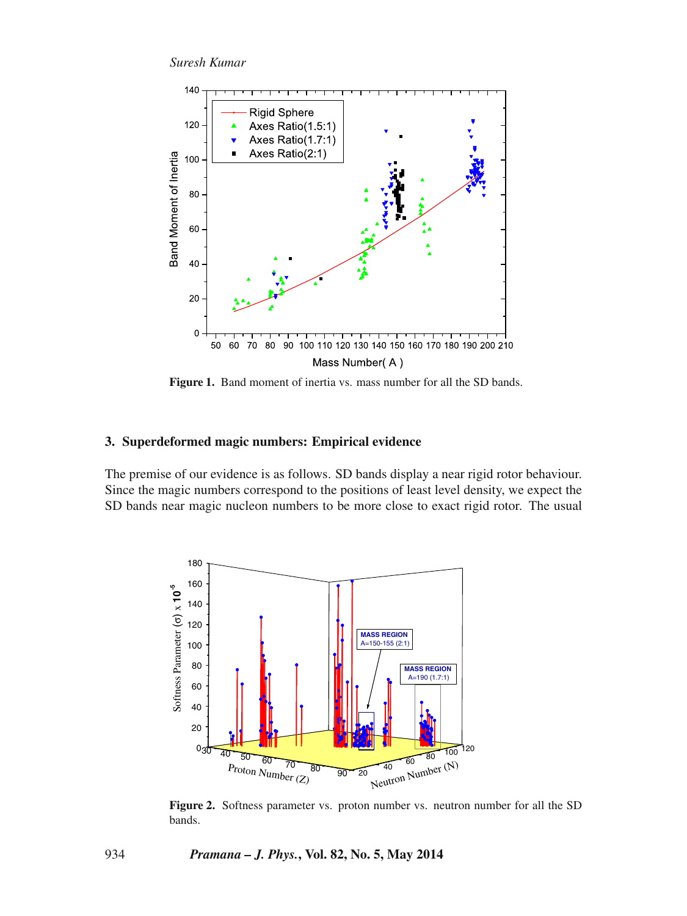*Suresh Kumar*

<span id="page-3-1"></span>

**Figure 1.** Band moment of inertia vs. mass number for all the SD bands.

## <span id="page-3-0"></span>**3. Superdeformed magic numbers: Empirical evidence**

The premise of our evidence is as follows. SD bands display a near rigid rotor behaviour. Since the magic numbers correspond to the positions of least level density, we expect the SD bands near magic nucleon numbers to be more close to exact rigid rotor. The usual

<span id="page-3-2"></span>

Figure 2. Softness parameter vs. proton number vs. neutron number for all the SD bands.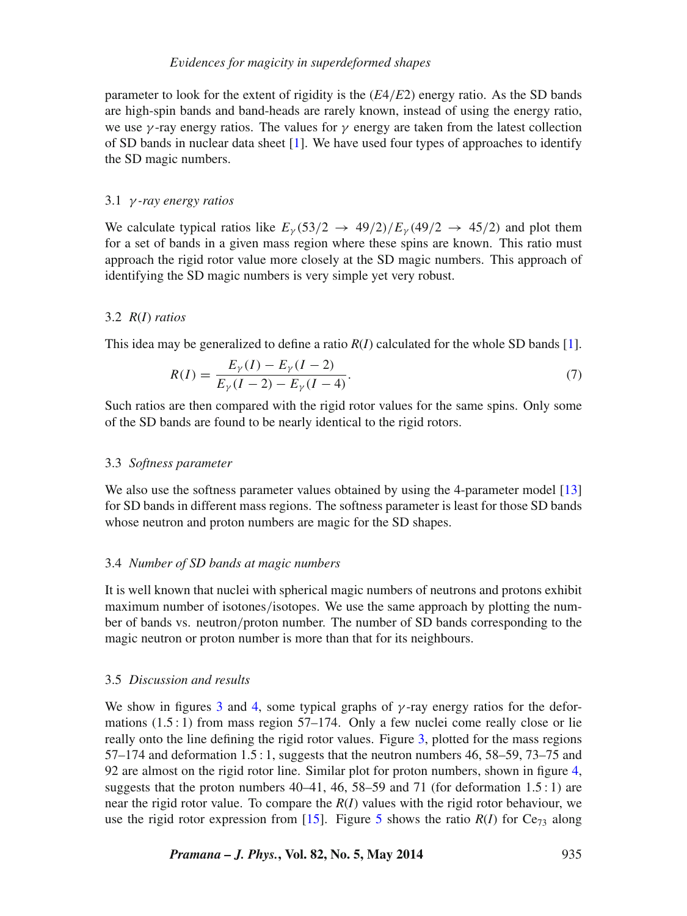parameter to look for the extent of rigidity is the (*E*4*/E*2) energy ratio. As the SD bands are high-spin bands and band-heads are rarely known, instead of using the energy ratio, we use  $\gamma$ -ray energy ratios. The values for  $\gamma$  energy are taken from the latest collection of SD bands in nuclear data sheet [\[1\]](#page-9-0). We have used four types of approaches to identify the SD magic numbers.

#### 3.1 *γ -ray energy ratios*

We calculate typical ratios like  $E_\gamma$  (53/2  $\rightarrow$  49/2)/ $E_\gamma$  (49/2  $\rightarrow$  45/2) and plot them for a set of bands in a given mass region where these spins are known. This ratio must approach the rigid rotor value more closely at the SD magic numbers. This approach of identifying the SD magic numbers is very simple yet very robust.

#### 3.2 *R*(*I*) *ratios*

This idea may be generalized to define a ratio  $R(I)$  calculated for the whole SD bands [\[1\]](#page-9-0).

$$
R(I) = \frac{E_{\gamma}(I) - E_{\gamma}(I - 2)}{E_{\gamma}(I - 2) - E_{\gamma}(I - 4)}.
$$
\n(7)

Such ratios are then compared with the rigid rotor values for the same spins. Only some of the SD bands are found to be nearly identical to the rigid rotors.

#### 3.3 *Softness parameter*

We also use the softness parameter values obtained by using the 4-parameter model [\[13\]](#page-10-6) for SD bands in different mass regions. The softness parameter is least for those SD bands whose neutron and proton numbers are magic for the SD shapes.

#### 3.4 *Number of SD bands at magic numbers*

It is well known that nuclei with spherical magic numbers of neutrons and protons exhibit maximum number of isotones*/*isotopes. We use the same approach by plotting the number of bands vs. neutron*/*proton number. The number of SD bands corresponding to the magic neutron or proton number is more than that for its neighbours.

## 3.5 *Discussion and results*

We show in figures [3](#page-5-0) and [4,](#page-5-1) some typical graphs of  $\gamma$ -ray energy ratios for the deformations (1.5 : 1) from mass region 57–174. Only a few nuclei come really close or lie really onto the line defining the rigid rotor values. Figure [3,](#page-5-0) plotted for the mass regions  $57-174$  and deformation  $1.5:1$ , suggests that the neutron numbers 46, 58–59, 73–75 and 92 are almost on the rigid rotor line. Similar plot for proton numbers, shown in figure [4,](#page-5-1) suggests that the proton numbers  $40-41$ ,  $46$ ,  $58-59$  and  $71$  (for deformation  $1.5:1$ ) are near the rigid rotor value. To compare the *R*(*I*) values with the rigid rotor behaviour, we use the rigid rotor expression from [\[15\]](#page-10-8). Figure [5](#page-6-0) shows the ratio  $R(I)$  for Ce<sub>73</sub> along

*Pramana – J. Phys.***, Vol. 82, No. 5, May 2014** 935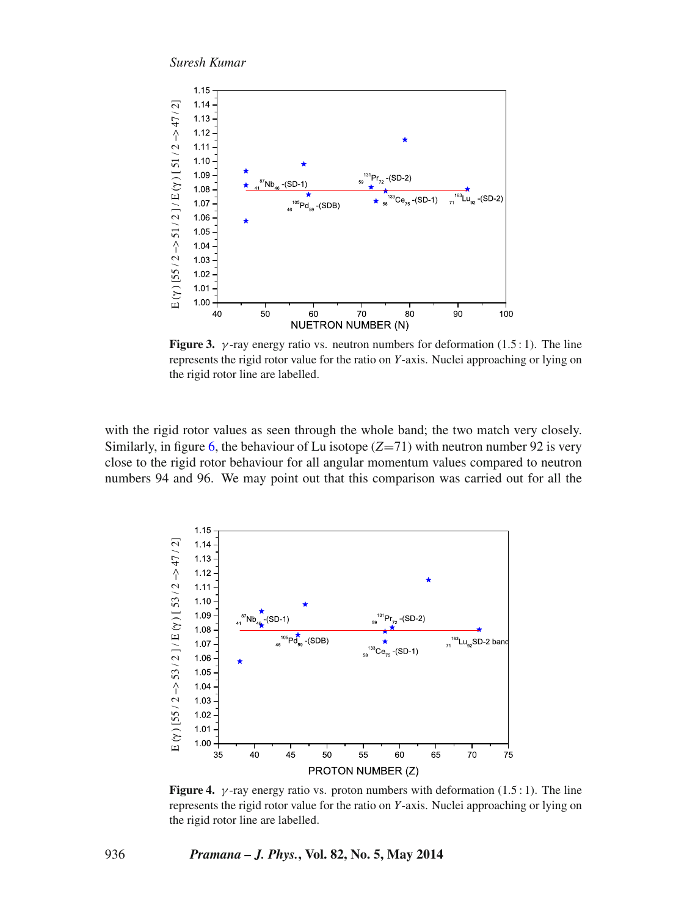*Suresh Kumar*

<span id="page-5-0"></span>

**Figure 3.** *γ*-ray energy ratio vs. neutron numbers for deformation  $(1.5:1)$ . The line represents the rigid rotor value for the ratio on *Y*-axis. Nuclei approaching or lying on the rigid rotor line are labelled.

with the rigid rotor values as seen through the whole band; the two match very closely. Similarly, in figure [6,](#page-6-1) the behaviour of Lu isotope (*Z*=71) with neutron number 92 is very close to the rigid rotor behaviour for all angular momentum values compared to neutron numbers 94 and 96. We may point out that this comparison was carried out for all the

<span id="page-5-1"></span>

**Figure 4.** *γ*-ray energy ratio vs. proton numbers with deformation  $(1.5:1)$ . The line represents the rigid rotor value for the ratio on *Y*-axis. Nuclei approaching or lying on the rigid rotor line are labelled.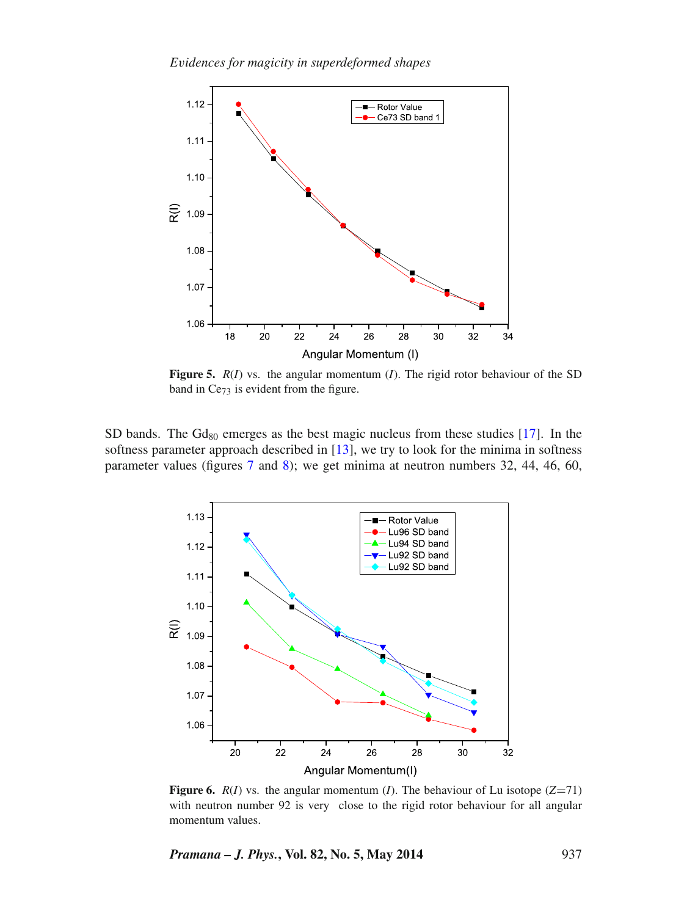<span id="page-6-0"></span>

**Figure 5.** *R*(*I*) vs. the angular momentum (*I*). The rigid rotor behaviour of the SD band in Ce<sub>73</sub> is evident from the figure.

SD bands. The  $Gd_{80}$  emerges as the best magic nucleus from these studies [\[17\]](#page-10-10). In the softness parameter approach described in [\[13\]](#page-10-6), we try to look for the minima in softness parameter values (figures [7](#page-7-0) and [8\)](#page-7-1); we get minima at neutron numbers 32, 44, 46, 60,

<span id="page-6-1"></span>

**Figure 6.**  $R(I)$  vs. the angular momentum (*I*). The behaviour of Lu isotope (*Z*=71) with neutron number 92 is very close to the rigid rotor behaviour for all angular momentum values.

*Pramana – J. Phys.***, Vol. 82, No. 5, May 2014** 937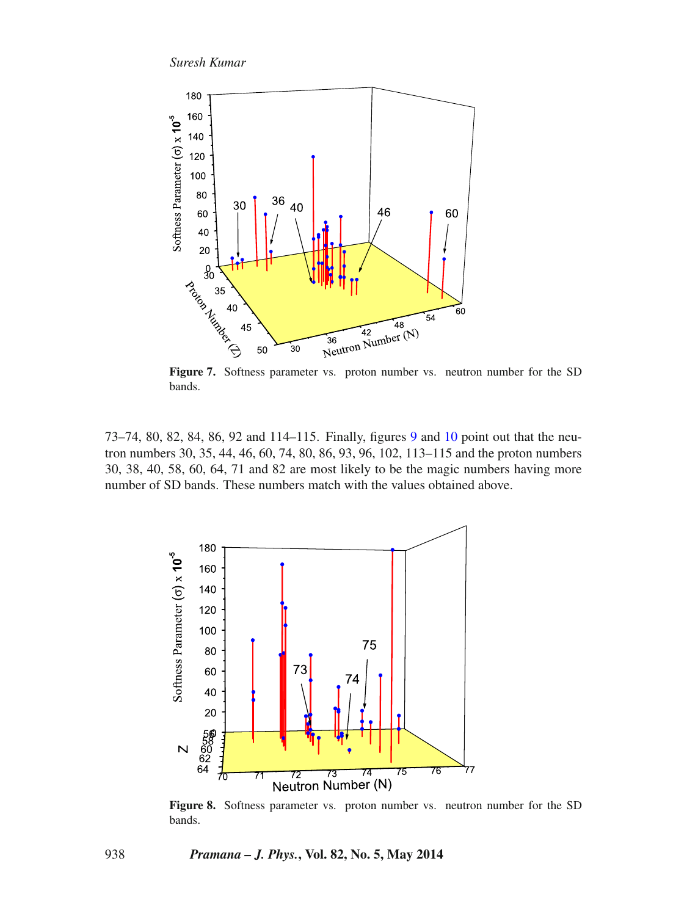<span id="page-7-0"></span>

bands.

73–74, 80, 82, 84, 86, 92 and 114–115. Finally, figures [9](#page-8-0) and [10](#page-8-1) point out that the neutron numbers 30, 35, 44, 46, 60, 74, 80, 86, 93, 96, 102, 113–115 and the proton numbers 30, 38, 40, 58, 60, 64, 71 and 82 are most likely to be the magic numbers having more number of SD bands. These numbers match with the values obtained above.

<span id="page-7-1"></span>

Figure 8. Softness parameter vs. proton number vs. neutron number for the SD bands.

938 *Pramana – J. Phys.***, Vol. 82, No. 5, May 2014**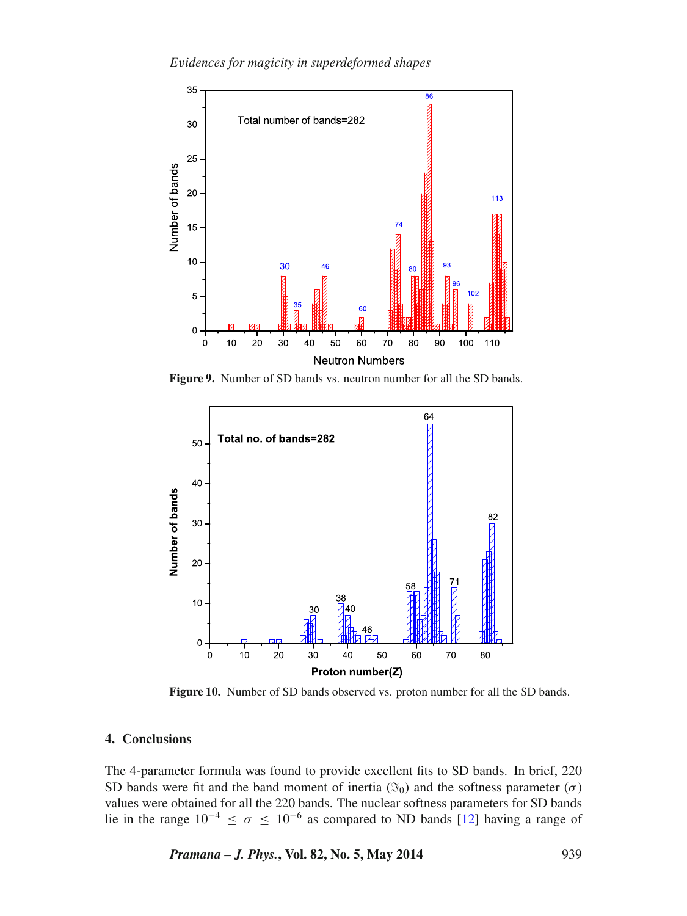<span id="page-8-0"></span>

**Figure 9.** Number of SD bands vs. neutron number for all the SD bands.

<span id="page-8-1"></span>

**Figure 10.** Number of SD bands observed vs. proton number for all the SD bands.

#### **4. Conclusions**

The 4-parameter formula was found to provide excellent fits to SD bands. In brief, 220 SD bands were fit and the band moment of inertia  $(\mathfrak{F}_0)$  and the softness parameter  $(\sigma)$ values were obtained for all the 220 bands. The nuclear softness parameters for SD bands lie in the range  $10^{-4} \le \sigma \le 10^{-6}$  as compared to ND bands [\[12\]](#page-10-5) having a range of

*Pramana – J. Phys.***, Vol. 82, No. 5, May 2014** 939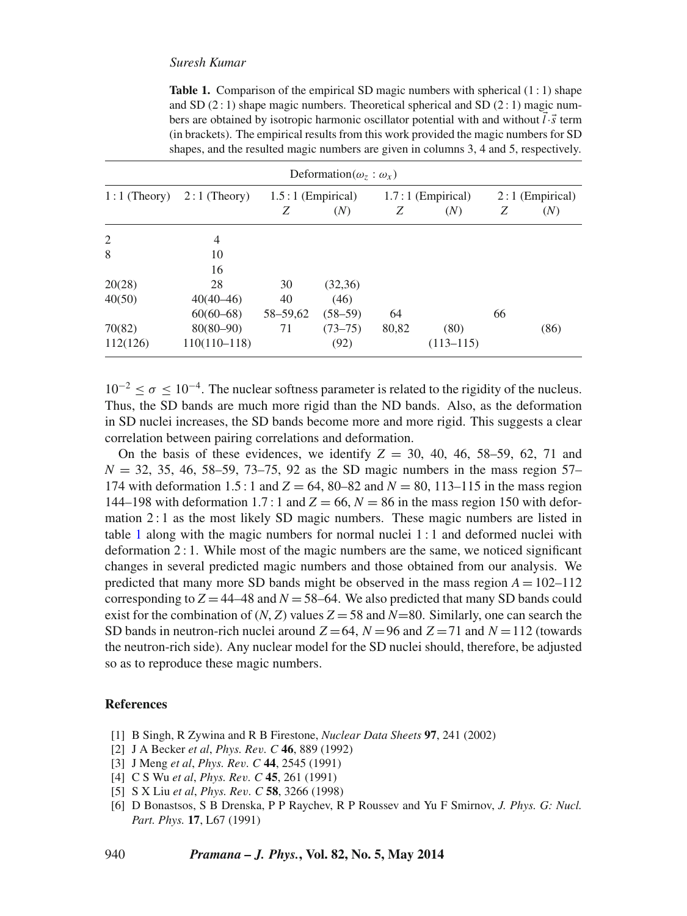## *Suresh Kumar*

<span id="page-9-2"></span>**Table 1.** Comparison of the empirical SD magic numbers with spherical  $(1:1)$  shape and SD  $(2:1)$  shape magic numbers. Theoretical spherical and SD  $(2:1)$  magic numbers are obtained by isotropic harmonic oscillator potential with and without  $l \cdot \vec{s}$  term (in brackets). The empirical results from this work provided the magic numbers for SD shapes, and the resulted magic numbers are given in columns 3, 4 and 5, respectively.

| Deformation( $\omega_z$ : $\omega_x$ ) |                |                     |             |                     |               |                   |      |
|----------------------------------------|----------------|---------------------|-------------|---------------------|---------------|-------------------|------|
| $1:1$ (Theory)                         | $2:1$ (Theory) | $1.5:1$ (Empirical) |             | $1.7:1$ (Empirical) |               | $2:1$ (Empirical) |      |
|                                        |                | Ζ                   | (N)         | Ζ                   | (N)           | Ζ                 | (N)  |
| 2                                      | 4              |                     |             |                     |               |                   |      |
| 8                                      | 10             |                     |             |                     |               |                   |      |
|                                        | 16             |                     |             |                     |               |                   |      |
| 20(28)                                 | 28             | 30                  | (32,36)     |                     |               |                   |      |
| 40(50)                                 | $40(40-46)$    | 40                  | (46)        |                     |               |                   |      |
|                                        | $60(60-68)$    | 58-59,62            | $(58 - 59)$ | 64                  |               | 66                |      |
| 70(82)                                 | $80(80 - 90)$  | 71                  | $(73 - 75)$ | 80,82               | (80)          |                   | (86) |
| 112(126)                               | $110(110-118)$ |                     | (92)        |                     | $(113 - 115)$ |                   |      |

 $10^{-2} < \sigma < 10^{-4}$ . The nuclear softness parameter is related to the rigidity of the nucleus. Thus, the SD bands are much more rigid than the ND bands. Also, as the deformation in SD nuclei increases, the SD bands become more and more rigid. This suggests a clear correlation between pairing correlations and deformation.

On the basis of these evidences, we identify  $Z = 30, 40, 46, 58-59, 62, 71$  and  $N = 32, 35, 46, 58-59, 73-75, 92$  as the SD magic numbers in the mass region 57-174 with deformation 1.5 : 1 and  $Z = 64$ , 80–82 and  $N = 80$ , 113–115 in the mass region 144–198 with deformation 1.7 : 1 and  $Z = 66$ ,  $N = 86$  in the mass region 150 with deformation 2 : 1 as the most likely SD magic numbers. These magic numbers are listed in table [1](#page-9-2) along with the magic numbers for normal nuclei 1 : 1 and deformed nuclei with deformation 2 : 1. While most of the magic numbers are the same, we noticed significant changes in several predicted magic numbers and those obtained from our analysis. We predicted that many more SD bands might be observed in the mass region  $A = 102-112$ corresponding to  $Z = 44-48$  and  $N = 58-64$ . We also predicted that many SD bands could exist for the combination of  $(N, Z)$  values  $Z = 58$  and  $N=80$ . Similarly, one can search the SD bands in neutron-rich nuclei around  $Z = 64$ ,  $N = 96$  and  $Z = 71$  and  $N = 112$  (towards the neutron-rich side). Any nuclear model for the SD nuclei should, therefore, be adjusted so as to reproduce these magic numbers.

## **References**

- <span id="page-9-0"></span>[1] B Singh, R Zywina and R B Firestone, *Nuclear Data Sheets* **97**, 241 (2002)
- <span id="page-9-1"></span>[2] J A Becker *et al*, *Phys. Rev. C* **46**, 889 (1992)
- [3] J Meng *et al*, *Phys. Rev. C* **44**, 2545 (1991)
- [4] C S Wu *et al*, *Phys. Rev. C* **45**, 261 (1991)
- [5] S X Liu *et al*, *Phys. Rev. C* **58**, 3266 (1998)
- [6] D Bonastsos, S B Drenska, P P Raychev, R P Roussev and Yu F Smirnov, *J. Phys. G: Nucl. Part. Phys.* **17**, L67 (1991)